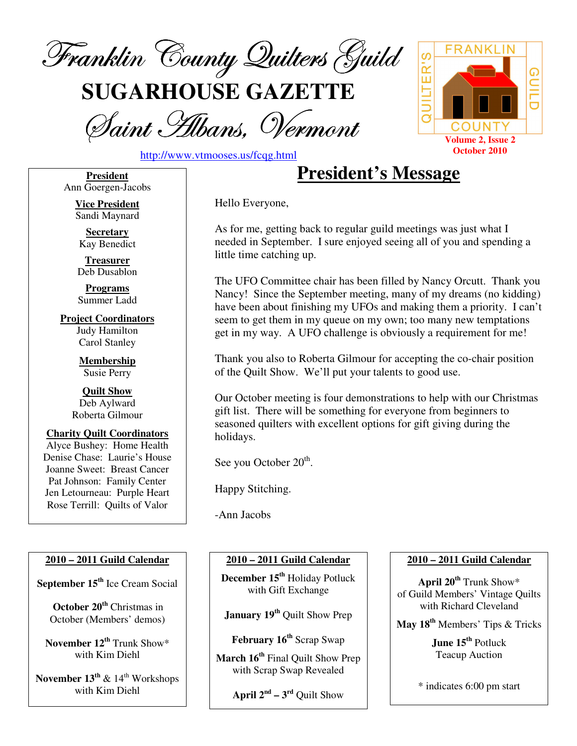

**SUGARHOUSE GAZETTE**

Saint Albans, Vermont



http://www.vtmooses.us/fcqg.html

**President** Ann Goergen-Jacobs

> **Vice President** Sandi Maynard

**Secretary** Kay Benedict

**Treasurer** Deb Dusablon

**Programs** Summer Ladd

**Project Coordinators** Judy Hamilton Carol Stanley

> **Membership** Susie Perry

**Quilt Show** Deb Aylward Roberta Gilmour

**Charity Quilt Coordinators** Alyce Bushey: Home Health Denise Chase: Laurie's House Joanne Sweet: Breast Cancer Pat Johnson: Family Center Jen Letourneau: Purple Heart Rose Terrill: Quilts of Valor

### **2010 – 2011 Guild Calendar**

**September 15 th** Ice Cream Social

**October 20 th** Christmas in October (Members' demos)

**November 12 th** Trunk Show\* with Kim Diehl

**November 13 th** & 14 th Workshops with Kim Diehl

# **President's Message**

Hello Everyone,

As for me, getting back to regular guild meetings was just what I needed in September. I sure enjoyed seeing all of you and spending a little time catching up.

The UFO Committee chair has been filled by Nancy Orcutt. Thank you Nancy! Since the September meeting, many of my dreams (no kidding) have been about finishing my UFOs and making them a priority. I can't seem to get them in my queue on my own; too many new temptations get in my way. A UFO challenge is obviously a requirement for me!

Thank you also to Roberta Gilmour for accepting the co-chair position of the Quilt Show. We'll put your talents to good use.

Our October meeting is four demonstrations to help with our Christmas gift list. There will be something for everyone from beginners to seasoned quilters with excellent options for gift giving during the holidays.

See you October 20<sup>th</sup>.

Happy Stitching.

-Ann Jacobs

### **2010 – 2011 Guild Calendar**

**December 15 th** Holiday Potluck with Gift Exchange

**January 19 th** Quilt Show Prep

**February 16 th** Scrap Swap

**March 16 th** Final Quilt Show Prep with Scrap Swap Revealed

**April**  $2^{nd} - 3^{rd}$  Quilt Show

### **2010 – 2011 Guild Calendar**

**April 20 th** Trunk Show\* of Guild Members' Vintage Quilts with Richard Cleveland

**May 18 th** Members' Tips & Tricks

**June 15 th** Potluck Teacup Auction

\* indicates 6:00 pm start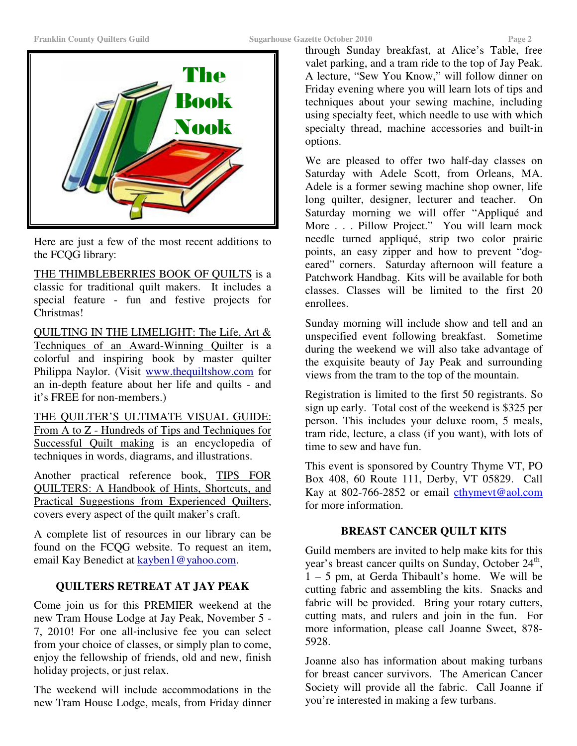

Here are just a few of the most recent additions to the FCQG library:

THE THIMBLEBERRIES BOOK OF QUILTS is a classic for traditional quilt makers. It includes a special feature - fun and festive projects for Christmas!

QUILTING IN THE LIMELIGHT: The Life, Art & Techniques of an Award-Winning Quilter is a colorful and inspiring book by master quilter Philippa Naylor. (Visit www.thequiltshow.com for an in-depth feature about her life and quilts - and it's FREE for non-members.)

THE QUILTER'S ULTIMATE VISUAL GUIDE: From A to Z - Hundreds of Tips and Techniques for Successful Quilt making is an encyclopedia of techniques in words, diagrams, and illustrations.

Another practical reference book, TIPS FOR QUILTERS: A Handbook of Hints, Shortcuts, and Practical Suggestions from Experienced Quilters, covers every aspect of the quilt maker's craft.

A complete list of resources in our library can be found on the FCQG website. To request an item, email Kay Benedict at kayben1@yahoo.com.

# **QUILTERS RETREAT AT JAY PEAK**

Come join us for this PREMIER weekend at the new Tram House Lodge at Jay Peak, November 5 - 7, 2010! For one all-inclusive fee you can select from your choice of classes, or simply plan to come, enjoy the fellowship of friends, old and new, finish holiday projects, or just relax.

The weekend will include accommodations in the new Tram House Lodge, meals, from Friday dinner through Sunday breakfast, at Alice's Table, free valet parking, and a tram ride to the top of Jay Peak. A lecture, "Sew You Know," will follow dinner on Friday evening where you will learn lots of tips and techniques about your sewing machine, including using specialty feet, which needle to use with which specialty thread, machine accessories and built-in options.

We are pleased to offer two half-day classes on Saturday with Adele Scott, from Orleans, MA. Adele is a former sewing machine shop owner, life long quilter, designer, lecturer and teacher. On Saturday morning we will offer "Appliqué and More . . . Pillow Project." You will learn mock needle turned appliqué, strip two color prairie points, an easy zipper and how to prevent "dogeared" corners. Saturday afternoon will feature a Patchwork Handbag. Kits will be available for both classes. Classes will be limited to the first 20 enrollees.

Sunday morning will include show and tell and an unspecified event following breakfast. Sometime during the weekend we will also take advantage of the exquisite beauty of Jay Peak and surrounding views from the tram to the top of the mountain.

Registration is limited to the first 50 registrants. So sign up early. Total cost of the weekend is \$325 per person. This includes your deluxe room, 5 meals, tram ride, lecture, a class (if you want), with lots of time to sew and have fun.

This event is sponsored by Country Thyme VT, PO Box 408, 60 Route 111, Derby, VT 05829. Call Kay at 802-766-2852 or email cthymevt@aol.com for more information.

# **BREAST CANCER QUILT KITS**

Guild members are invited to help make kits for this year's breast cancer quilts on Sunday, October 24<sup>th</sup>,  $1 - 5$  pm, at Gerda Thibault's home. We will be cutting fabric and assembling the kits. Snacks and fabric will be provided. Bring your rotary cutters, cutting mats, and rulers and join in the fun. For more information, please call Joanne Sweet, 878- 5928.

Joanne also has information about making turbans for breast cancer survivors. The American Cancer Society will provide all the fabric. Call Joanne if you're interested in making a few turbans.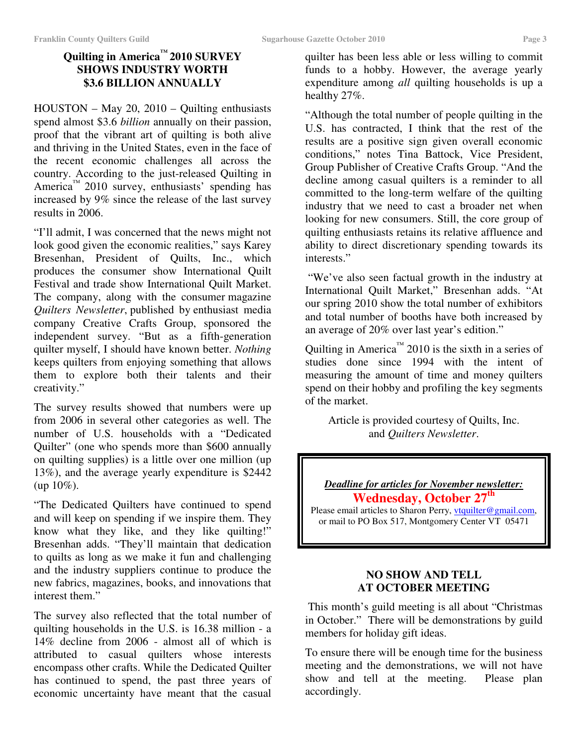# **Quilting in America ™ 2010 SURVEY SHOWS INDUSTRY WORTH \$3.6 BILLION ANNUALLY**

HOUSTON – May 20, 2010 – Quilting enthusiasts spend almost \$3.6 *billion* annually on their passion, proof that the vibrant art of quilting is both alive and thriving in the United States, even in the face of the recent economic challenges all across the country. According to the just-released Quilting in America<sup>™</sup> 2010 survey, enthusiasts' spending has increased by 9% since the release of the last survey results in 2006.

"I'll admit, I was concerned that the news might not look good given the economic realities," says Karey Bresenhan, President of Quilts, Inc., which produces the consumer show International Quilt Festival and trade show International Quilt Market. The company, along with the consumer magazine *Quilters Newsletter*, published by enthusiast media company Creative Crafts Group, sponsored the independent survey. "But as a fifth-generation quilter myself, I should have known better. *Nothing* keeps quilters from enjoying something that allows them to explore both their talents and their creativity."

The survey results showed that numbers were up from 2006 in several other categories as well. The number of U.S. households with a "Dedicated Quilter" (one who spends more than \$600 annually on quilting supplies) is a little over one million (up 13%), and the average yearly expenditure is \$2442  $up 10\%$ ).

"The Dedicated Quilters have continued to spend and will keep on spending if we inspire them. They know what they like, and they like quilting!" Bresenhan adds. "They'll maintain that dedication to quilts as long as we make it fun and challenging and the industry suppliers continue to produce the new fabrics, magazines, books, and innovations that interest them."

The survey also reflected that the total number of quilting households in the U.S. is 16.38 million - a 14% decline from 2006 - almost all of which is attributed to casual quilters whose interests encompass other crafts. While the Dedicated Quilter has continued to spend, the past three years of economic uncertainty have meant that the casual

quilter has been less able or less willing to commit funds to a hobby. However, the average yearly expenditure among *all* quilting households is up a healthy 27%.

"Although the total number of people quilting in the U.S. has contracted, I think that the rest of the results are a positive sign given overall economic conditions," notes Tina Battock, Vice President, Group Publisher of Creative Crafts Group. "And the decline among casual quilters is a reminder to all committed to the long-term welfare of the quilting industry that we need to cast a broader net when looking for new consumers. Still, the core group of quilting enthusiasts retains its relative affluence and ability to direct discretionary spending towards its interests."

"We've also seen factual growth in the industry at International Quilt Market," Bresenhan adds. "At our spring 2010 show the total number of exhibitors and total number of booths have both increased by an average of 20% over last year's edition."

Quilting in America<sup>™</sup> 2010 is the sixth in a series of studies done since 1994 with the intent of measuring the amount of time and money quilters spend on their hobby and profiling the key segments of the market.

Article is provided courtesy of Quilts, Inc. and *Quilters Newsletter*.

### *Deadline for articles for November newsletter:* **Wednesday, October 27 th**

Please email articles to Sharon Perry, vtquilter@gmail.com, or mail to PO Box 517, Montgomery Center VT 05471

### **NO SHOW AND TELL AT OCTOBER MEETING**

This month's guild meeting is all about "Christmas in October." There will be demonstrations by guild members for holiday gift ideas.

To ensure there will be enough time for the business meeting and the demonstrations, we will not have show and tell at the meeting. Please plan accordingly.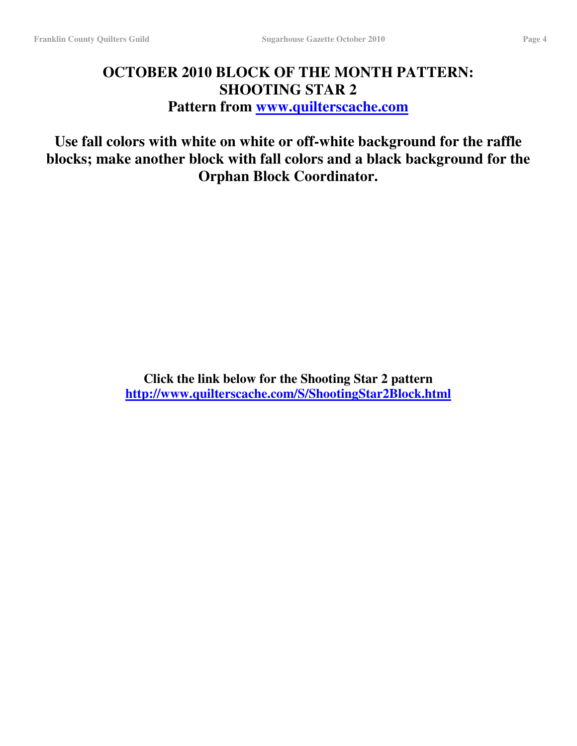# **OCTOBER 2010 BLOCK OF THE MONTH PATTERN: SHOOTING STAR 2 Pattern from www.quilterscache.com**

**Use fall colors with white on white or off-white background for the raffle blocks; make another block with fall colors and a black background for the Orphan Block Coordinator.**

> **Click the link below for the Shooting Star 2 pattern http://www.quilterscache.com/S/ShootingStar2Block.html**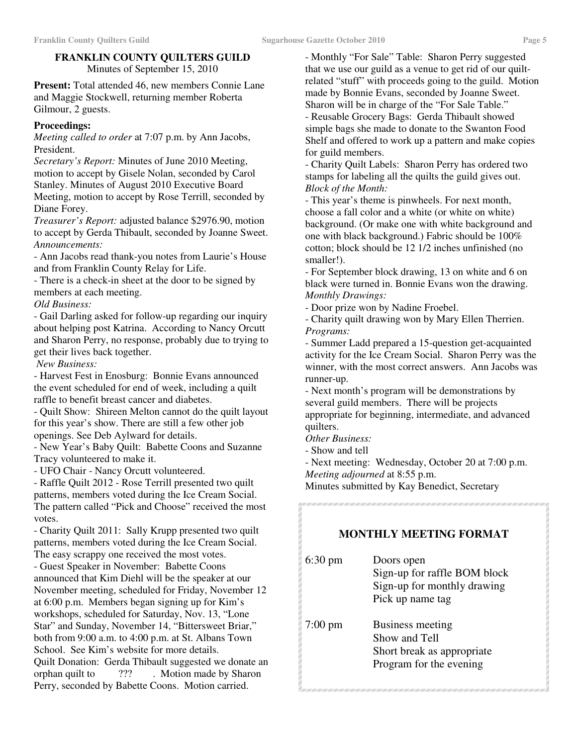#### **FRANKLIN COUNTY QUILTERS GUILD** Minutes of September 15, 2010

**Present:** Total attended 46, new members Connie Lane and Maggie Stockwell, returning member Roberta Gilmour, 2 guests.

### **Proceedings:**

*Meeting called to order* at 7:07 p.m. by Ann Jacobs, President.

*Secretary's Report:* Minutes of June 2010 Meeting, motion to accept by Gisele Nolan, seconded by Carol Stanley. Minutes of August 2010 Executive Board Meeting, motion to accept by Rose Terrill, seconded by Diane Forey.

*Treasurer's Report:* adjusted balance \$2976.90, motion to accept by Gerda Thibault, seconded by Joanne Sweet. *Announcements:*

- Ann Jacobs read thank-you notes from Laurie's House and from Franklin County Relay for Life.

- There is a check-in sheet at the door to be signed by members at each meeting.

*Old Business:*

- Gail Darling asked for follow-up regarding our inquiry about helping post Katrina. According to Nancy Orcutt and Sharon Perry, no response, probably due to trying to get their lives back together.

*New Business:*

- Harvest Fest in Enosburg: Bonnie Evans announced the event scheduled for end of week, including a quilt raffle to benefit breast cancer and diabetes.

- Quilt Show: Shireen Melton cannot do the quilt layout for this year's show. There are still a few other job openings. See Deb Aylward for details.

- New Year's Baby Quilt: Babette Coons and Suzanne Tracy volunteered to make it.

- UFO Chair - Nancy Orcutt volunteered.

- Raffle Quilt 2012 - Rose Terrill presented two quilt patterns, members voted during the Ice Cream Social. The pattern called "Pick and Choose" received the most votes.

- Charity Quilt 2011: Sally Krupp presented two quilt patterns, members voted during the Ice Cream Social. The easy scrappy one received the most votes.

- Guest Speaker in November: Babette Coons announced that Kim Diehl will be the speaker at our November meeting, scheduled for Friday, November 12 at 6:00 p.m. Members began signing up for Kim's workshops, scheduled for Saturday, Nov. 13, "Lone Star" and Sunday, November 14, "Bittersweet Briar," both from 9:00 a.m. to 4:00 p.m. at St. Albans Town School. See Kim's website for more details. Quilt Donation: Gerda Thibault suggested we donate an orphan quilt to ??? . Motion made by Sharon Perry, seconded by Babette Coons. Motion carried.

- Monthly "For Sale" Table: Sharon Perry suggested that we use our guild as a venue to get rid of our quiltrelated "stuff" with proceeds going to the guild. Motion made by Bonnie Evans, seconded by Joanne Sweet. Sharon will be in charge of the "For Sale Table." - Reusable Grocery Bags: Gerda Thibault showed simple bags she made to donate to the Swanton Food Shelf and offered to work up a pattern and make copies for guild members.

- Charity Quilt Labels: Sharon Perry has ordered two stamps for labeling all the quilts the guild gives out. *Block of the Month:*

- This year's theme is pinwheels. For next month, choose a fall color and a white (or white on white) background. (Or make one with white background and one with black background.) Fabric should be 100% cotton; block should be 12 1/2 inches unfinished (no smaller!).

- For September block drawing, 13 on white and 6 on black were turned in. Bonnie Evans won the drawing. *Monthly Drawings:*

- Door prize won by Nadine Froebel.

- Charity quilt drawing won by Mary Ellen Therrien. *Programs:*

- Summer Ladd prepared a 15-question get-acquainted activity for the Ice Cream Social. Sharon Perry was the winner, with the most correct answers. Ann Jacobs was runner-up.

- Next month's program will be demonstrations by several guild members. There will be projects appropriate for beginning, intermediate, and advanced quilters.

*Other Business:*

- Show and tell

- Next meeting: Wednesday, October 20 at 7:00 p.m.

*Meeting adjourned* at 8:55 p.m.

Minutes submitted by Kay Benedict, Secretary

an e ancesa ancesan e ancesan a comeza ancesa ancesa ancesa ancesa ancesa ancesa

### **MONTHLY MEETING FORMAT**

| $6:30 \text{ pm}$ | Doors open<br>Sign-up for raffle BOM block<br>Sign-up for monthly drawing<br>Pick up name tag |
|-------------------|-----------------------------------------------------------------------------------------------|
| $7:00 \text{ pm}$ | Business meeting<br>Show and Tell<br>Short break as appropriate<br>Program for the evening    |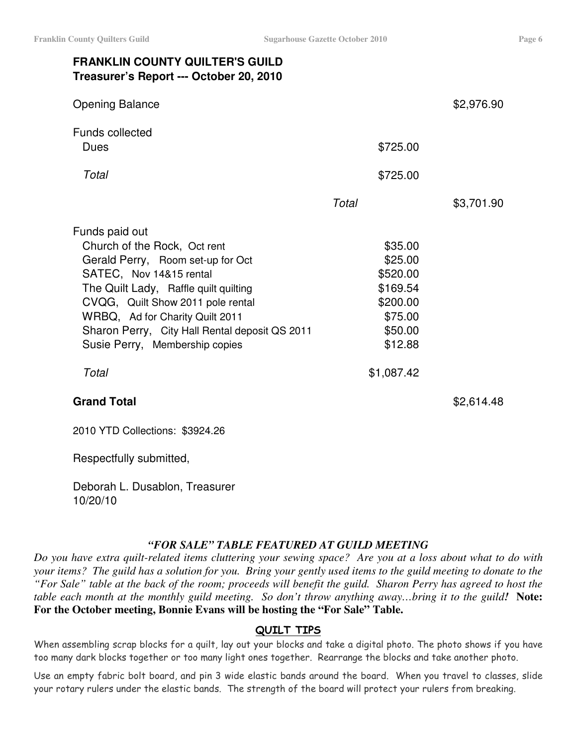# **FRANKLIN COUNTY QUILTER'S GUILD Treasurer's Report --- October 20, 2010**

| <b>Opening Balance</b>                                                                                                                                                                                                                                                                                              |                                                                                         | \$2,976.90 |
|---------------------------------------------------------------------------------------------------------------------------------------------------------------------------------------------------------------------------------------------------------------------------------------------------------------------|-----------------------------------------------------------------------------------------|------------|
| <b>Funds collected</b><br>Dues                                                                                                                                                                                                                                                                                      | \$725.00                                                                                |            |
| Total                                                                                                                                                                                                                                                                                                               | \$725.00                                                                                |            |
|                                                                                                                                                                                                                                                                                                                     | Total                                                                                   | \$3,701.90 |
| Funds paid out<br>Church of the Rock, Oct rent<br>Gerald Perry, Room set-up for Oct<br>SATEC, Nov 14&15 rental<br>The Quilt Lady, Raffle quilt quilting<br>CVQG, Quilt Show 2011 pole rental<br>WRBQ, Ad for Charity Quilt 2011<br>Sharon Perry, City Hall Rental deposit QS 2011<br>Susie Perry, Membership copies | \$35.00<br>\$25.00<br>\$520.00<br>\$169.54<br>\$200.00<br>\$75.00<br>\$50.00<br>\$12.88 |            |
| Total                                                                                                                                                                                                                                                                                                               | \$1,087.42                                                                              |            |
| <b>Grand Total</b>                                                                                                                                                                                                                                                                                                  |                                                                                         | \$2,614.48 |

2010 YTD Collections: \$3924.26

Respectfully submitted,

Deborah L. Dusablon, Treasurer 10/20/10

### *"FOR SALE" TABLE FEATURED AT GUILD MEETING*

Do you have extra quilt-related items cluttering your sewing space? Are you at a loss about what to do with your items? The guild has a solution for you. Bring your gently used items to the guild meeting to donate to the "For Sale" table at the back of the room; proceeds will benefit the guild. Sharon Perry has agreed to host the table each month at the monthly guild meeting. So don't throw anything away...bring it to the guild! Note: **For the October meeting, Bonnie Evans will be hosting the "For Sale" Table.**

### <u>QUILT TIPS</u>

When assembling scrap blocks for a quilt, lay out your blocks and take a digital photo. The photo shows if you have too many dark blocks together or too many light ones together. Rearrange the blocks and take another photo.

Use an empty fabric bolt board, and pin 3 wide elastic bands around the board. When you travel to classes, slide your rotary rulers under the elastic bands. The strength of the board will protect your rulers from breaking.